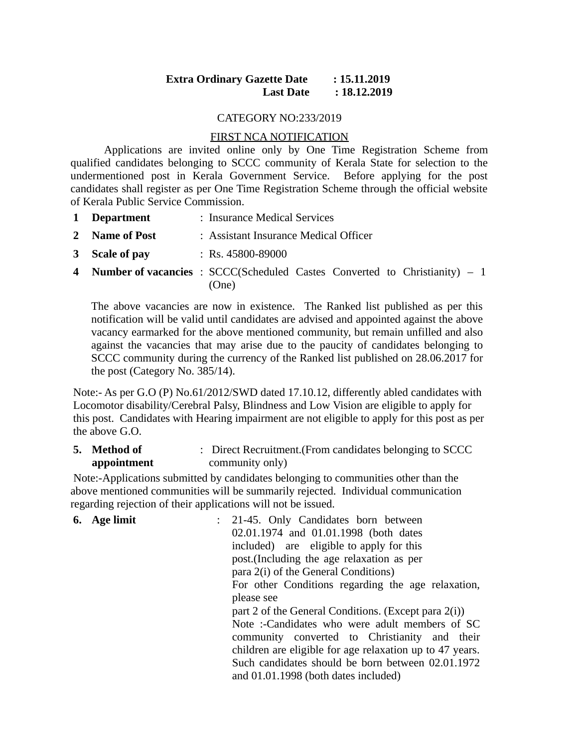# **Extra Ordinary Gazette Date : 15.11.2019 Last Date : 18.12.2019**

#### CATEGORY NO:233/2019

### FIRST NCA NOTIFICATION

Applications are invited online only by One Time Registration Scheme from qualified candidates belonging to SCCC community of Kerala State for selection to the undermentioned post in Kerala Government Service. Before applying for the post candidates shall register as per One Time Registration Scheme through the official website of Kerala Public Service Commission.

- **1 Department** : Insurance Medical Services
- **2 Name of Post** : Assistant Insurance Medical Officer
- **3 Scale of pay** : Rs. 45800-89000
- **4 Number of vacancies** : SCCC(Scheduled Castes Converted to Christianity) 1 (One)

The above vacancies are now in existence. The Ranked list published as per this notification will be valid until candidates are advised and appointed against the above vacancy earmarked for the above mentioned community, but remain unfilled and also against the vacancies that may arise due to the paucity of candidates belonging to SCCC community during the currency of the Ranked list published on 28.06.2017 for the post (Category No. 385/14).

Note:- As per G.O (P) No.61/2012/SWD dated 17.10.12, differently abled candidates with Locomotor disability/Cerebral Palsy, Blindness and Low Vision are eligible to apply for this post. Candidates with Hearing impairment are not eligible to apply for this post as per the above G.O.

**5. Method of appointment** : Direct Recruitment.(From candidates belonging to SCCC community only)

 Note:-Applications submitted by candidates belonging to communities other than the above mentioned communities will be summarily rejected. Individual communication regarding rejection of their applications will not be issued.

| 6. Age limit | : 21-45. Only Candidates born between                    |
|--------------|----------------------------------------------------------|
|              | 02.01.1974 and 01.01.1998 (both dates                    |
|              | included) are eligible to apply for this                 |
|              | post. (Including the age relaxation as per               |
|              | para 2(i) of the General Conditions)                     |
|              | For other Conditions regarding the age relaxation,       |
|              | please see                                               |
|              | part 2 of the General Conditions. (Except para 2(i))     |
|              | Note:-Candidates who were adult members of SC            |
|              | community converted to Christianity and their            |
|              | children are eligible for age relaxation up to 47 years. |
|              | Such candidates should be born between 02.01.1972        |
|              | and 01.01.1998 (both dates included)                     |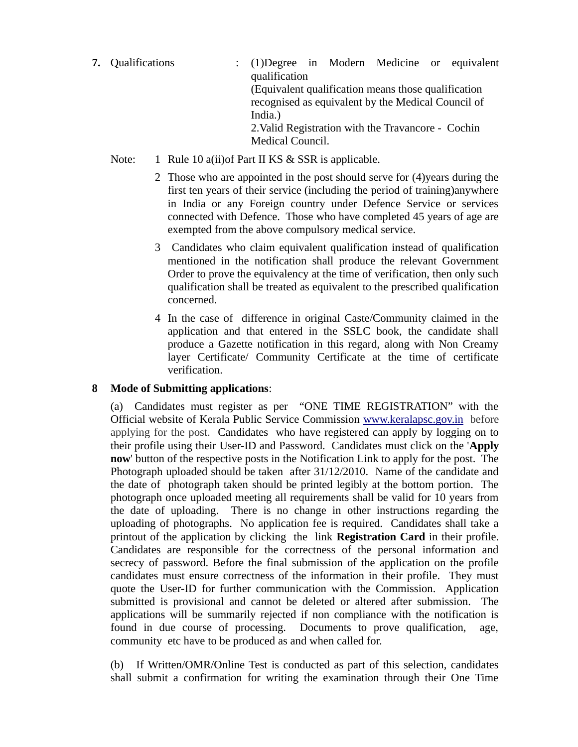- **7.** Qualifications : (1)Degree in Modern Medicine or equivalent qualification (Equivalent qualification means those qualification recognised as equivalent by the Medical Council of India.) 2.Valid Registration with the Travancore - Cochin Medical Council.
	- Note: 1 Rule 10 a(ii) of Part II KS & SSR is applicable.
		- 2 Those who are appointed in the post should serve for (4)years during the first ten years of their service (including the period of training)anywhere in India or any Foreign country under Defence Service or services connected with Defence. Those who have completed 45 years of age are exempted from the above compulsory medical service.
		- 3 Candidates who claim equivalent qualification instead of qualification mentioned in the notification shall produce the relevant Government Order to prove the equivalency at the time of verification, then only such qualification shall be treated as equivalent to the prescribed qualification concerned.
		- 4 In the case of difference in original Caste/Community claimed in the application and that entered in the SSLC book, the candidate shall produce a Gazette notification in this regard, along with Non Creamy layer Certificate/ Community Certificate at the time of certificate verification.

# **8 Mode of Submitting applications**:

(a) Candidates must register as per "ONE TIME REGISTRATION" with the Official website of Kerala Public Service Commission www.keralapsc.gov.inbefore applying for the post. Candidates who have registered can apply by logging on to their profile using their User-ID and Password. Candidates must click on the '**Apply now**' button of the respective posts in the Notification Link to apply for the post. The Photograph uploaded should be taken after 31/12/2010. Name of the candidate and the date of photograph taken should be printed legibly at the bottom portion. The photograph once uploaded meeting all requirements shall be valid for 10 years from the date of uploading. There is no change in other instructions regarding the uploading of photographs. No application fee is required. Candidates shall take a printout of the application by clicking the link **Registration Card** in their profile. Candidates are responsible for the correctness of the personal information and secrecy of password. Before the final submission of the application on the profile candidates must ensure correctness of the information in their profile. They must quote the User-ID for further communication with the Commission. Application submitted is provisional and cannot be deleted or altered after submission. The applications will be summarily rejected if non compliance with the notification is found in due course of processing. Documents to prove qualification, age, community etc have to be produced as and when called for.

(b) If Written/OMR/Online Test is conducted as part of this selection, candidates shall submit a confirmation for writing the examination through their One Time